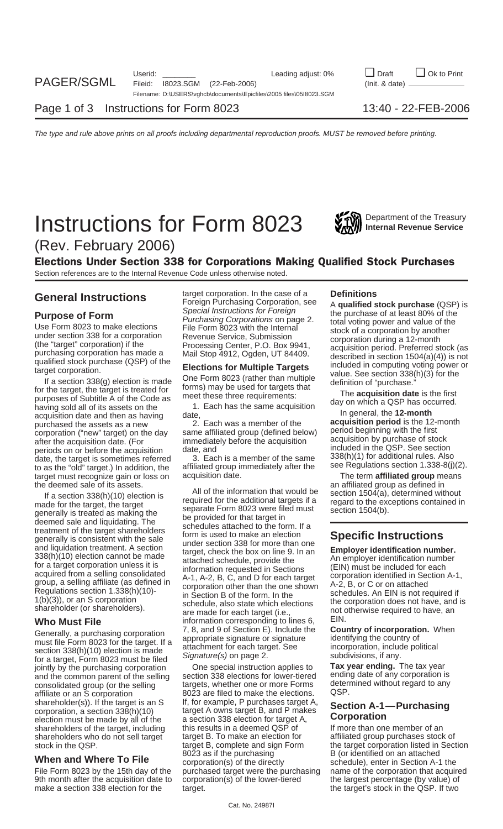# **Instructions for Form 8023** Internal Revenue Service



### (Rev. February 2006)

Elections Under Section 338 for Corporations Making Qualified Stock Purchases

Section references are to the Internal Revenue Code unless otherwise noted.

having sold all of its assets on the the same acquisition acquisition acquisition date and then as having date,<br>
acquisition date and then as having date,<br>
2. Each was a member of the **acquisition period** is the 12-<br> **acqu** edistrict and the transformation of the **acquisition period** is the 12-month purchased the assets as a new acquisition period is the 12-month corporation ("new" target) on the day same affiliated group (defined below) peri corporation ("new" target) on the day same affiliated group (defined below) period beginning with the first corporation date (For immediately before the acquisition acquisition by purchase of stock after the acquisition date. (For immediately before the acquisition acquisition by purchase of stock and and and analyzing date.  $\frac{1}{2}$  and analyzing included in the QSP. See section periods on or before the acquisition date, and<br>date, the target is sometimes referred 3. Each is a member of the same 338(h)(1) for additional rules. Also date, the target is sometimes referred 3. Each is a member of the same 338(n)(1) for additional rules. Also to as the "old" target.) In addition, the affiliated group immediately after the see Regulations section 1.338-8(j target must recognize gain or loss on acquisition date. The term **affiliated group** means the deemed sale of its assets.

for a target, Form 8023 must be filed<br>jointly by the purchasing corporation one special instruction applies to **Tax year ending.** The tax year<br>and the common parent of the selling section 338 elections for lower-tiered end affiliate or an S corporation 8023 are filed to make the elections. shareholders of the target, including this results in a deemed QSP of shareholders who do not sell target than  $q$  and B. To make an election for

9th month after the acquisition date to corporation(s) of the lower-tiered the largest percentage (by value) of make a section 338 election for the target.

affiliated group immediately after the see Regulations section 1.338-8(j)(2<br>acquisition date. The term **affiliated group** means

In a section 350(ii)(10) electron is<br>
made for the target, the target<br>
generally is treated as making the<br>
deemed sale and liquidating. The<br>
treatment of the target shareholders<br>
treatment of the target shareholders<br>
form meaniem of the layer strate<br>
and liquidation treatment. A section<br>
and liquidation treatment. A section<br>
and liquidation treatment. A section<br>
and liquidation treatment. A section<br>
statice of the box on line 9. In an<br>
for Shareholder (or shareholders).<br>
Who Must File information corresponding to lines 6, EIN.<br>
Generally a purchasing corporation 7, 8, and 9 of Section E). Include the **Country of incorporation.** When Generally, a purchasing corporation  $\begin{array}{l} 7, 8, \text{ and } 9 \text{ of } \text{Section E}$ . Include the **Country of incorporation.** When appropriate signature or signature identifying the country of must file Form 8023 for the target. If a at

and the common parent of the selling section 338 elections for lower-tiered ending date of any corporation is<br>consolidated group (or the selling stargets, whether one or more Forms determined without regard to any consolidated group (or the selling targets, whether one or more Forms determined up to any Scorporation consultation and any determined with regard to make the elections CSP. shareholder(s)). If the target is an S If, for example, P purchases target A,<br>corporation, a section 338(h)(10) target A owns target B, and P makes **Section A-1—Purchasing**<br>election must be made by all of the a section 338 election must be made by all of the a section 338 election for target A, **Corporation**<br>shareholders of the target, including this results in a deemed QSP of lf more than one member of an shareholders who do not sell target target B. To make an election for affiliated group purchases stock of stock of<br>stock in the QSP. target B, complete and sign Form the target corporation listed in Sect **When and Where To File** 8023 as if the purchasing B (or identified on an attached corporation(s) of the directly schedule), enter in Section A-1 the target. The section  $\mathbf{r}$  and the target's stock in the QSP. If two

**General Instructions**<br> **Ceneral Instructions**<br>
Foreign Purpose of Form<br>
Special Instructions for Foreign<br>
Use Form 8023 to make elections<br>
under section 338 for a corporation<br>
under section 338 for a corporation<br>
under se

the deemed sale of its assets.<br>If a section 338(h)(10) election is All of the information that would be section 1504(a), determined without<br>made for the target the target the target

stock in the QSP.<br> **target B**, complete and sign Form the target corporation listed in Section<br> **the target corporation listed in Section**<br> **B** (or identified on an attached File Form 8023 by the 15th day of the purchased target were the purchasing name of the corporation that acquired<br>9th month after the acquisition date to corporation(s) of the lower-tiered the largest percentage (by value)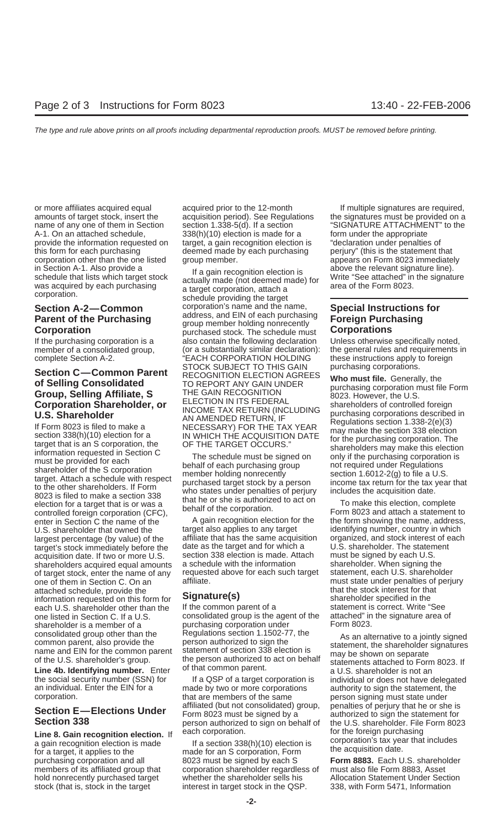or more affiliates acquired equal acquired prior to the 12-month If multiple signatures are required, name of any one of them in Section section 1.338-5(d). If a section "SIGNATURE ATTACHMENT" to the A-1. On an attached schedule, 338(h)(10) election is made for a form under the appropriate<br>provide the information requested on target, a gain recognition election is "declaration under penalties of provide the information requested on target, a gain recognition election is this form for each purchasing deemed made by each purchasing perjury" (this is the statement that corporation other than the one listed group member.<br>
If a gain recognition election is above the relevant signature line).

entrolled foreign corporation (CFC), belian of the corporation. The Form 8023 and attach a statement to<br>enter in Section C the name of the A gain recognition election for the the form showing the name, address,<br>U.S. shareh U.S. shareholder that owned the target also applies to any target identifying number, country in which largest percentage (by value) of the affiliate that has the same acquisition organized, and stock interest of each target's stock immediately before the date as the target and for which a U.S. shareholder. The statem<br>acquisition date. If two or more U.S. section 338 election is made. Attach must be signed by each U.S. acquisition date. If two or more U.S. section 338 election is made. Attach must be signed by each U.S.<br>shareholders acquired equal amounts a schedule with the information shareholder. When signing the shareholders acquired equal amounts an a schedule with the information shareholder. When signing the<br>of target stock, enter the name of any requested above for each such target statement, each U.S. shareholder of target stock, enter the name of any requested one of them in Section C. On an one of them in Section C. On an affiliate. must state under penalties of perjury attached schedule, provide the that the stock interest for that the stock interest for that information requested on this form for **Signature(s)** that the stock interest for the information requested on this form for **Signature(s)** shareholder specified in the<br>each U.S. shareholder other than the lifthe common parent of a statement is correct. Write "See shareholder is a member of a purchasing corporation under consolidated group other than the Regulations section 1.1502-77, the

Line 8. Gain recognition election. If each corporation. <br>a gain recognition election is made lif a section 338(h)(10) election is corporation's tax year that includes<br>for a target, it applies to the made for an S corporati stock (that is, stock in the target interest interest in target stock in the QSP. 338, with Form 5471, Information

in Section A-1. Also provide a lif a gain recognition election is above the relevant signature line).<br>
schedule that lists which target stock actually made (not deemed made) for Write "See attached" in the signature<br>
a tar Section A-2—Common corporation's name and the name, Special Instructions for<br>
Parent of the Purchasing address, and EIN of each purchasing Foreign Purchasing<br>
Corporation purchased stock. The schedule must Corporations If the purchasing corporation is a also contain the following declaration Unless otherwise specifically noted,<br>member of a consolidated group, (or a substantially similar declaration): the general rules and requirements in member of a consolidated group, (or a substantially similar declaration): the general rules and requirement complete Section A-2. "EACH CORPORATION HOLDING these instructions apply to foreign complete Section A-2. "EACH CORPORATION HOLDING these instructions apply to foreign Contractors. STOCK SUBJECT TO THIS GAIN purchasing corporations.

affiliate that has the same acquisition organized, and stock interest of each date as the target and for which a U.S. shareholder. The statement

each U.S. shareholder other than the If the common parent of a statement is correct. Write "See<br>one listed in Section C. If a U.S. consolidated group is the agent of the attached" in the signature area of one listed in Section C. If a U.S. consolidated group is the agent of the attached" in shareholder is a member of a vertical purchasing corporation under Form 8023. consolidated group other than the Regulations section 1.1502-77, the As an alternative to a jointly signed<br>common parent, also provide the person authorized to sign the statement, the shareholder signatures<br>of the U.S. sha

the social security number (SSN) for If a QSP of a target corporation is individual or does not have delegated<br>an individual. Enter the EIN for a made by two or more corporations authority to sign the statement, the made by two or more corporations authority to sign the statement, the that are members of the same person signing must state under corporation.<br> **corporation corporation corporation corporation corporation corporation corporation corporation corporation corporation corporation corporation corporation corporation corporation** Section E—Elections Under affiliated (but not consolidated) group, penalties of perjury that he or she is<br>Section 338 Torm 8023 must be signed by a mathorized to sign the statement for person authorized to sign on behalf o

purchasing corporation and all 8023 must be signed by each S **Form 8883.** Each U.S. shareholder members of its affiliated group that corporation shareholder regardless of must also file Form 8883, Asset hold nonrecently purchased target whether the shareholder sells his Allocation Statement Under Section

amounts of target stock, insert the acquisition period). See Regulations the signatures must be provided on a

Section C—Common Parent<br>
of Selling Consolidated<br>
The GEOGNITION ELECTION AGREES<br>
OF Selling Affiliate, S<br>
The Gank RECOGNITION ENCOGNITION<br>
THE GRAIN UNDER<br>
CORPORT ANY GAIN UNDER<br>
CORPORT ANY GAIN UNDER<br>
THE GAN RECOGNIT